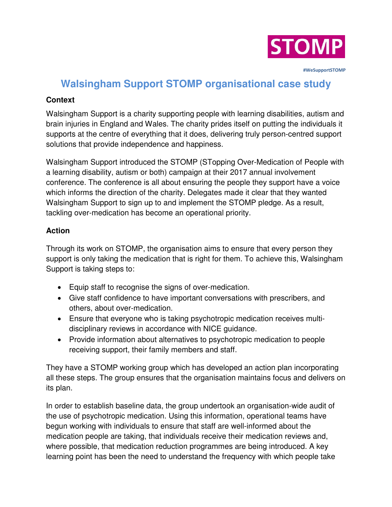

 **#WeSupportSTOMP**

# **Walsingham Support STOMP organisational case study**

#### **Context**

Walsingham Support is a charity supporting people with learning disabilities, autism and brain injuries in England and Wales. The charity prides itself on putting the individuals it supports at the centre of everything that it does, delivering truly person-centred support solutions that provide independence and happiness.

Walsingham Support introduced the STOMP (STopping Over-Medication of People with a learning disability, autism or both) campaign at their 2017 annual involvement conference. The conference is all about ensuring the people they support have a voice which informs the direction of the charity. Delegates made it clear that they wanted Walsingham Support to sign up to and implement the STOMP pledge. As a result, tackling over-medication has become an operational priority.

#### **Action**

Through its work on STOMP, the organisation aims to ensure that every person they support is only taking the medication that is right for them. To achieve this, Walsingham Support is taking steps to:

- Equip staff to recognise the signs of over-medication.
- Give staff confidence to have important conversations with prescribers, and others, about over-medication.
- Ensure that everyone who is taking psychotropic medication receives multidisciplinary reviews in accordance with NICE guidance.
- Provide information about alternatives to psychotropic medication to people receiving support, their family members and staff.

They have a STOMP working group which has developed an action plan incorporating all these steps. The group ensures that the organisation maintains focus and delivers on its plan.

In order to establish baseline data, the group undertook an organisation-wide audit of the use of psychotropic medication. Using this information, operational teams have begun working with individuals to ensure that staff are well-informed about the medication people are taking, that individuals receive their medication reviews and, where possible, that medication reduction programmes are being introduced. A key learning point has been the need to understand the frequency with which people take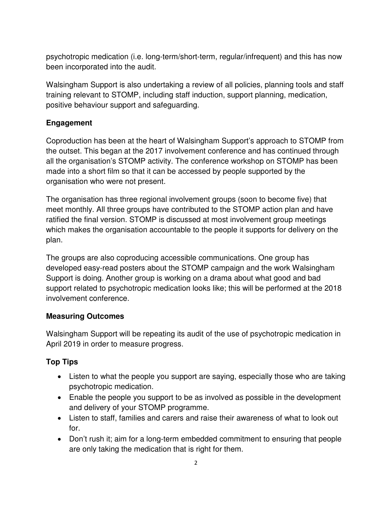psychotropic medication (i.e. long-term/short-term, regular/infrequent) and this has now been incorporated into the audit.

Walsingham Support is also undertaking a review of all policies, planning tools and staff training relevant to STOMP, including staff induction, support planning, medication, positive behaviour support and safeguarding.

## **Engagement**

Coproduction has been at the heart of Walsingham Support's approach to STOMP from the outset. This began at the 2017 involvement conference and has continued through all the organisation's STOMP activity. The conference workshop on STOMP has been made into a short film so that it can be accessed by people supported by the organisation who were not present.

The organisation has three regional involvement groups (soon to become five) that meet monthly. All three groups have contributed to the STOMP action plan and have ratified the final version. STOMP is discussed at most involvement group meetings which makes the organisation accountable to the people it supports for delivery on the plan.

The groups are also coproducing accessible communications. One group has developed easy-read posters about the STOMP campaign and the work Walsingham Support is doing. Another group is working on a drama about what good and bad support related to psychotropic medication looks like; this will be performed at the 2018 involvement conference.

## **Measuring Outcomes**

Walsingham Support will be repeating its audit of the use of psychotropic medication in April 2019 in order to measure progress.

## **Top Tips**

- Listen to what the people you support are saying, especially those who are taking psychotropic medication.
- Enable the people you support to be as involved as possible in the development and delivery of your STOMP programme.
- Listen to staff, families and carers and raise their awareness of what to look out for.
- Don't rush it; aim for a long-term embedded commitment to ensuring that people are only taking the medication that is right for them.